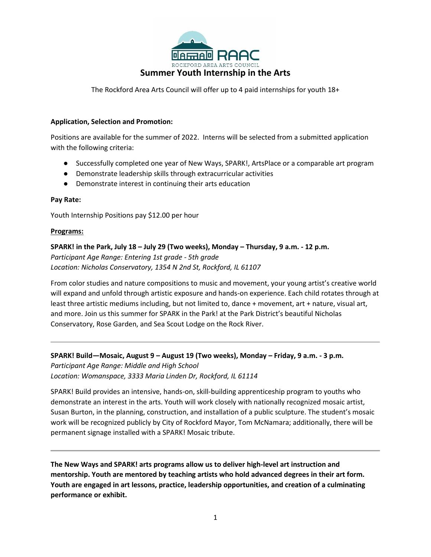

The Rockford Area Arts Council will offer up to 4 paid internships for youth 18+

## **Application, Selection and Promotion:**

Positions are available for the summer of 2022. Interns will be selected from a submitted application with the following criteria:

- Successfully completed one year of New Ways, SPARK!, ArtsPlace or a comparable art program
- Demonstrate leadership skills through extracurricular activities
- Demonstrate interest in continuing their arts education

### **Pay Rate:**

Youth Internship Positions pay \$12.00 per hour

### **Programs:**

**SPARK! in the Park, July 18 – July 29 (Two weeks), Monday – Thursday, 9 a.m. - 12 p.m.** *Participant Age Range: Entering 1st grade - 5th grade Location: Nicholas Conservatory, 1354 N 2nd St, Rockford, IL 61107*

From color studies and nature compositions to music and movement, your young artist's creative world will expand and unfold through artistic exposure and hands-on experience. Each child rotates through at least three artistic mediums including, but not limited to, dance + movement, art + nature, visual art, and more. Join us this summer for SPARK in the Park! at the Park District's beautiful Nicholas Conservatory, Rose Garden, and Sea Scout Lodge on the Rock River.

## **SPARK! Build—Mosaic, August 9 – August 19 (Two weeks), Monday – Friday, 9 a.m. - 3 p.m.**

*Participant Age Range: Middle and High School Location: Womanspace, 3333 Maria Linden Dr, Rockford, IL 61114*

SPARK! Build provides an intensive, hands-on, skill-building apprenticeship program to youths who demonstrate an interest in the arts. Youth will work closely with nationally recognized mosaic artist, Susan Burton, in the planning, construction, and installation of a public sculpture. The student's mosaic work will be recognized publicly by City of Rockford Mayor, Tom McNamara; additionally, there will be permanent signage installed with a SPARK! Mosaic tribute.

**The New Ways and SPARK! arts programs allow us to deliver high-level art instruction and mentorship. Youth are mentored by teaching artists who hold advanced degrees in their art form. Youth are engaged in art lessons, practice, leadership opportunities, and creation of a culminating performance or exhibit.**